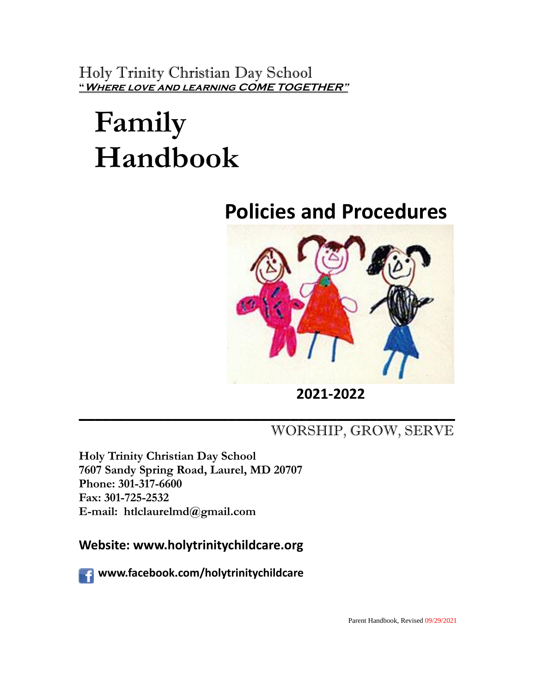Holy Trinity Christian Day School **"Where love and learning COME TOGETHER"**

# **Family Handbook**

## **Policies and Procedures**



 **<sup>2021</sup>-<sup>2022</sup>**

## **\_\_\_\_\_\_\_\_\_\_\_\_\_\_\_\_\_\_\_\_\_\_\_\_\_\_\_\_\_\_\_\_\_\_\_\_\_\_\_\_\_\_\_\_\_\_\_\_** WORSHIP, GROW, SERVE

**Holy Trinity Christian Day School 7607 Sandy Spring Road, Laurel, MD 20707 Phone: 301-317-6600 Fax: 301-725-2532 E-mail: htlclaurelmd@gmail.com**

**Website: www.holytrinitychildcare.org**

 **www.facebook.com/holytrinitychildcare**

Parent Handbook, Revised 09/29/2021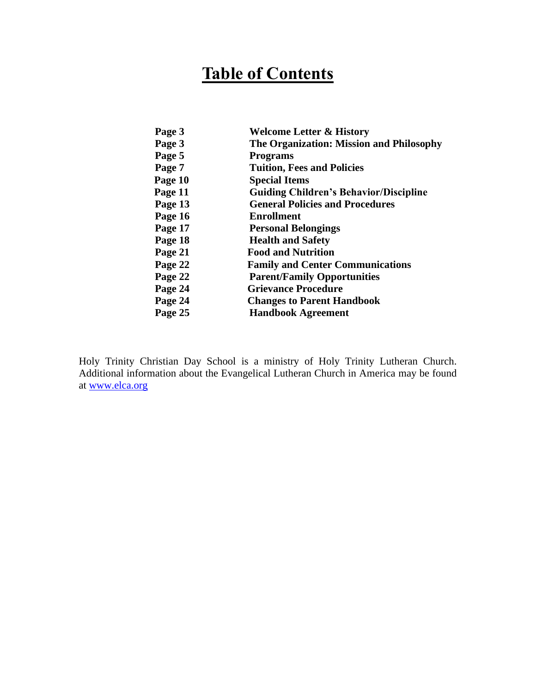## **Table of Contents**

| Page 3  | <b>Welcome Letter &amp; History</b>           |
|---------|-----------------------------------------------|
| Page 3  | The Organization: Mission and Philosophy      |
| Page 5  | <b>Programs</b>                               |
| Page 7  | <b>Tuition, Fees and Policies</b>             |
| Page 10 | <b>Special Items</b>                          |
| Page 11 | <b>Guiding Children's Behavior/Discipline</b> |
| Page 13 | <b>General Policies and Procedures</b>        |
| Page 16 | <b>Enrollment</b>                             |
| Page 17 | <b>Personal Belongings</b>                    |
| Page 18 | <b>Health and Safety</b>                      |
| Page 21 | <b>Food and Nutrition</b>                     |
| Page 22 | <b>Family and Center Communications</b>       |
| Page 22 | <b>Parent/Family Opportunities</b>            |
| Page 24 | <b>Grievance Procedure</b>                    |
| Page 24 | <b>Changes to Parent Handbook</b>             |
| Page 25 | <b>Handbook Agreement</b>                     |
|         |                                               |

Holy Trinity Christian Day School is a ministry of Holy Trinity Lutheran Church. Additional information about the Evangelical Lutheran Church in America may be found at [www.elca.org](http://www.elca.org/)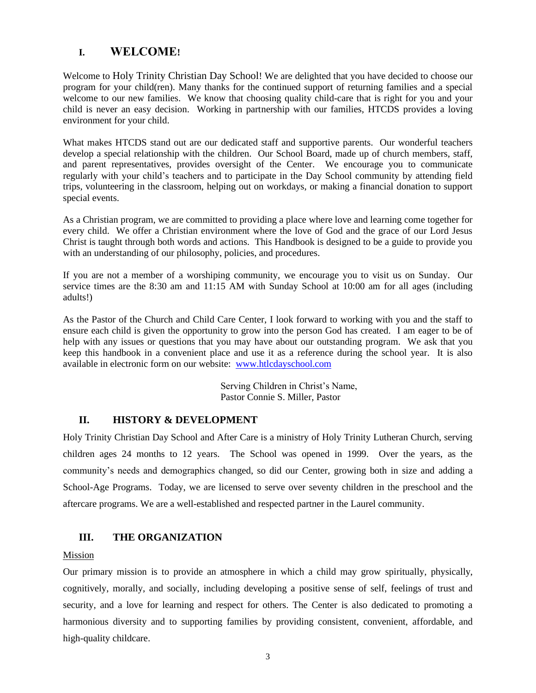#### **I. WELCOME!**

Welcome to Holy Trinity Christian Day School! We are delighted that you have decided to choose our program for your child(ren). Many thanks for the continued support of returning families and a special welcome to our new families. We know that choosing quality child-care that is right for you and your child is never an easy decision. Working in partnership with our families, HTCDS provides a loving environment for your child.

What makes HTCDS stand out are our dedicated staff and supportive parents. Our wonderful teachers develop a special relationship with the children. Our School Board, made up of church members, staff, and parent representatives, provides oversight of the Center. We encourage you to communicate regularly with your child's teachers and to participate in the Day School community by attending field trips, volunteering in the classroom, helping out on workdays, or making a financial donation to support special events.

As a Christian program, we are committed to providing a place where love and learning come together for every child. We offer a Christian environment where the love of God and the grace of our Lord Jesus Christ is taught through both words and actions. This Handbook is designed to be a guide to provide you with an understanding of our philosophy, policies, and procedures.

If you are not a member of a worshiping community, we encourage you to visit us on Sunday. Our service times are the 8:30 am and 11:15 AM with Sunday School at 10:00 am for all ages (including adults!)

As the Pastor of the Church and Child Care Center, I look forward to working with you and the staff to ensure each child is given the opportunity to grow into the person God has created. I am eager to be of help with any issues or questions that you may have about our outstanding program. We ask that you keep this handbook in a convenient place and use it as a reference during the school year. It is also available in electronic form on our website: [www.htlcdayschool.com](http://www.htlcdayschool.com/)

> Serving Children in Christ's Name, Pastor Connie S. Miller, Pastor

#### **II. HISTORY & DEVELOPMENT**

Holy Trinity Christian Day School and After Care is a ministry of Holy Trinity Lutheran Church, serving children ages 24 months to 12 years. The School was opened in 1999. Over the years, as the community's needs and demographics changed, so did our Center, growing both in size and adding a School-Age Programs. Today, we are licensed to serve over seventy children in the preschool and the aftercare programs. We are a well-established and respected partner in the Laurel community.

#### **III. THE ORGANIZATION**

#### Mission

Our primary mission is to provide an atmosphere in which a child may grow spiritually, physically, cognitively, morally, and socially, including developing a positive sense of self, feelings of trust and security, and a love for learning and respect for others. The Center is also dedicated to promoting a harmonious diversity and to supporting families by providing consistent, convenient, affordable, and high-quality childcare.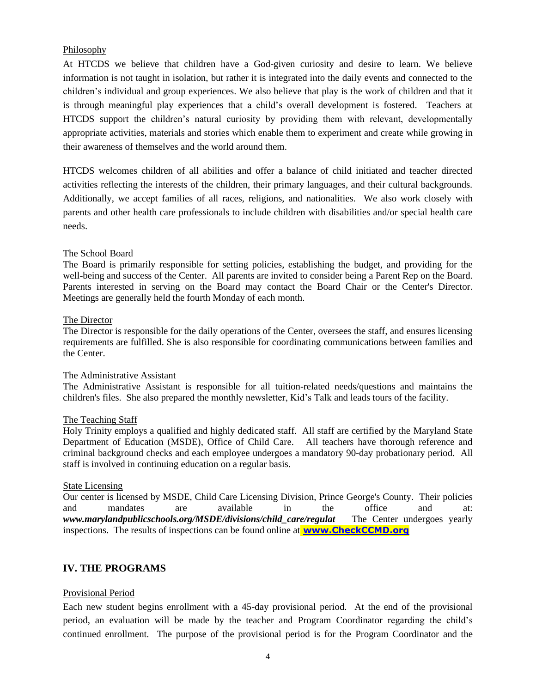#### Philosophy

At HTCDS we believe that children have a God-given curiosity and desire to learn. We believe information is not taught in isolation, but rather it is integrated into the daily events and connected to the children's individual and group experiences. We also believe that play is the work of children and that it is through meaningful play experiences that a child's overall development is fostered. Teachers at HTCDS support the children's natural curiosity by providing them with relevant, developmentally appropriate activities, materials and stories which enable them to experiment and create while growing in their awareness of themselves and the world around them.

HTCDS welcomes children of all abilities and offer a balance of child initiated and teacher directed activities reflecting the interests of the children, their primary languages, and their cultural backgrounds. Additionally, we accept families of all races, religions, and nationalities. We also work closely with parents and other health care professionals to include children with disabilities and/or special health care needs.

#### The School Board

The Board is primarily responsible for setting policies, establishing the budget, and providing for the well-being and success of the Center. All parents are invited to consider being a Parent Rep on the Board. Parents interested in serving on the Board may contact the Board Chair or the Center's Director. Meetings are generally held the fourth Monday of each month.

#### The Director

The Director is responsible for the daily operations of the Center, oversees the staff, and ensures licensing requirements are fulfilled. She is also responsible for coordinating communications between families and the Center.

#### The Administrative Assistant

The Administrative Assistant is responsible for all tuition-related needs/questions and maintains the children's files. She also prepared the monthly newsletter, Kid's Talk and leads tours of the facility.

#### The Teaching Staff

Holy Trinity employs a qualified and highly dedicated staff. All staff are certified by the Maryland State Department of Education (MSDE), Office of Child Care. All teachers have thorough reference and criminal background checks and each employee undergoes a mandatory 90-day probationary period. All staff is involved in continuing education on a regular basis.

#### State Licensing

Our center is licensed by MSDE, Child Care Licensing Division, Prince George's County. Their policies and mandates are available in the office and at: *www.marylandpublicschools.org/MSDE/divisions/child\_care/regulat* The Center undergoes yearly inspections. The results of inspections can be found online at **[www.CheckCCMD.org](http://www.checkccmd.org/)**

#### **IV. THE PROGRAMS**

#### Provisional Period

Each new student begins enrollment with a 45-day provisional period. At the end of the provisional period, an evaluation will be made by the teacher and Program Coordinator regarding the child's continued enrollment. The purpose of the provisional period is for the Program Coordinator and the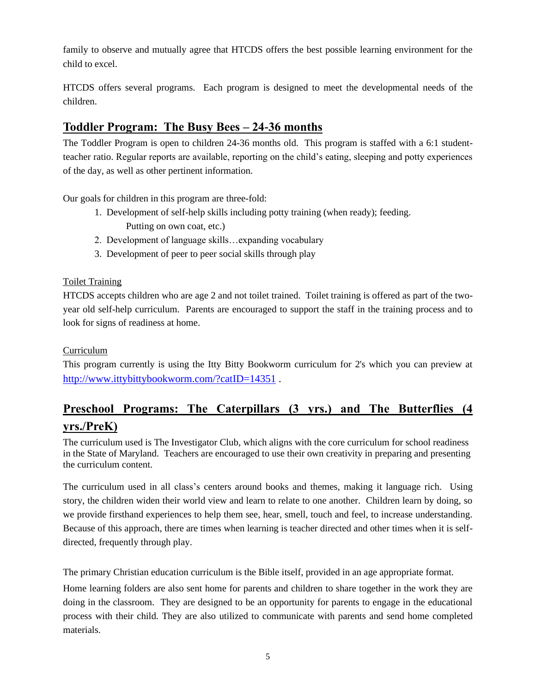family to observe and mutually agree that HTCDS offers the best possible learning environment for the child to excel.

HTCDS offers several programs. Each program is designed to meet the developmental needs of the children.

### **Toddler Program: The Busy Bees – 24-36 months**

The Toddler Program is open to children 24-36 months old. This program is staffed with a 6:1 studentteacher ratio. Regular reports are available, reporting on the child's eating, sleeping and potty experiences of the day, as well as other pertinent information.

Our goals for children in this program are three-fold:

- 1. Development of self-help skills including potty training (when ready); feeding. Putting on own coat, etc.)
- 2. Development of language skills…expanding vocabulary
- 3. Development of peer to peer social skills through play

#### Toilet Training

HTCDS accepts children who are age 2 and not toilet trained. Toilet training is offered as part of the twoyear old self-help curriculum. Parents are encouraged to support the staff in the training process and to look for signs of readiness at home.

#### **Curriculum**

This program currently is using the Itty Bitty Bookworm curriculum for 2's which you can preview at <http://www.ittybittybookworm.com/?catID=14351>.

## **Preschool Programs: The Caterpillars (3 yrs.) and The Butterflies (4 yrs./PreK)**

The curriculum used is The Investigator Club, which aligns with the core curriculum for school readiness in the State of Maryland. Teachers are encouraged to use their own creativity in preparing and presenting the curriculum content.

The curriculum used in all class's centers around books and themes, making it language rich. Using story, the children widen their world view and learn to relate to one another. Children learn by doing, so we provide firsthand experiences to help them see, hear, smell, touch and feel, to increase understanding. Because of this approach, there are times when learning is teacher directed and other times when it is selfdirected, frequently through play.

The primary Christian education curriculum is the Bible itself, provided in an age appropriate format.

Home learning folders are also sent home for parents and children to share together in the work they are doing in the classroom. They are designed to be an opportunity for parents to engage in the educational process with their child. They are also utilized to communicate with parents and send home completed materials.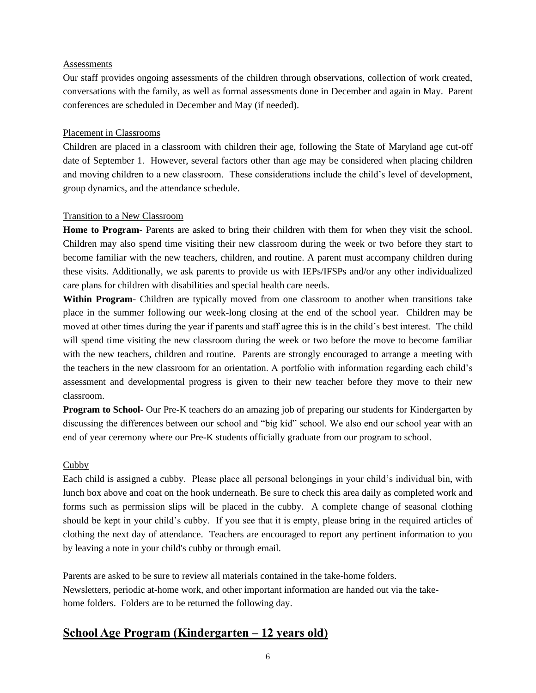#### **Assessments**

Our staff provides ongoing assessments of the children through observations, collection of work created, conversations with the family, as well as formal assessments done in December and again in May. Parent conferences are scheduled in December and May (if needed).

#### Placement in Classrooms

Children are placed in a classroom with children their age, following the State of Maryland age cut-off date of September 1. However, several factors other than age may be considered when placing children and moving children to a new classroom. These considerations include the child's level of development, group dynamics, and the attendance schedule.

#### Transition to a New Classroom

**Home to Program**- Parents are asked to bring their children with them for when they visit the school. Children may also spend time visiting their new classroom during the week or two before they start to become familiar with the new teachers, children, and routine. A parent must accompany children during these visits. Additionally, we ask parents to provide us with IEPs/IFSPs and/or any other individualized care plans for children with disabilities and special health care needs.

**Within Program**- Children are typically moved from one classroom to another when transitions take place in the summer following our week-long closing at the end of the school year. Children may be moved at other times during the year if parents and staff agree this is in the child's best interest. The child will spend time visiting the new classroom during the week or two before the move to become familiar with the new teachers, children and routine. Parents are strongly encouraged to arrange a meeting with the teachers in the new classroom for an orientation. A portfolio with information regarding each child's assessment and developmental progress is given to their new teacher before they move to their new classroom.

**Program to School**- Our Pre-K teachers do an amazing job of preparing our students for Kindergarten by discussing the differences between our school and "big kid" school. We also end our school year with an end of year ceremony where our Pre-K students officially graduate from our program to school.

#### Cubby

Each child is assigned a cubby. Please place all personal belongings in your child's individual bin, with lunch box above and coat on the hook underneath. Be sure to check this area daily as completed work and forms such as permission slips will be placed in the cubby. A complete change of seasonal clothing should be kept in your child's cubby. If you see that it is empty, please bring in the required articles of clothing the next day of attendance. Teachers are encouraged to report any pertinent information to you by leaving a note in your child's cubby or through email.

Parents are asked to be sure to review all materials contained in the take-home folders. Newsletters, periodic at-home work, and other important information are handed out via the takehome folders. Folders are to be returned the following day.

## **School Age Program (Kindergarten – 12 years old)**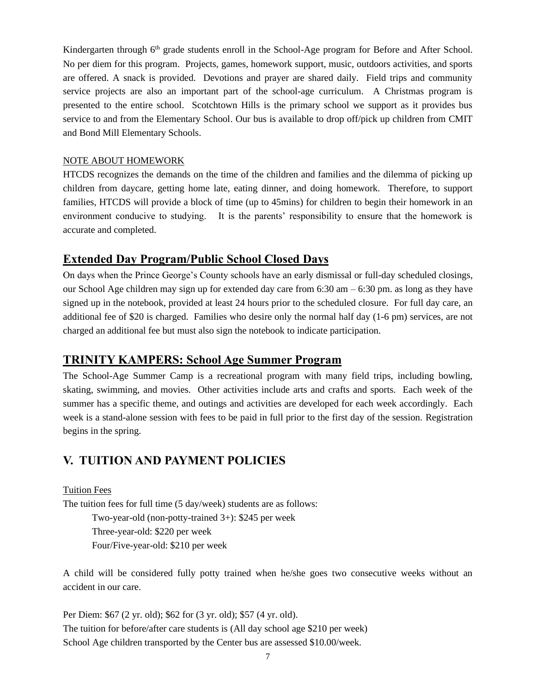Kindergarten through 6<sup>th</sup> grade students enroll in the School-Age program for Before and After School. No per diem for this program. Projects, games, homework support, music, outdoors activities, and sports are offered. A snack is provided. Devotions and prayer are shared daily. Field trips and community service projects are also an important part of the school-age curriculum. A Christmas program is presented to the entire school. Scotchtown Hills is the primary school we support as it provides bus service to and from the Elementary School. Our bus is available to drop off/pick up children from CMIT and Bond Mill Elementary Schools.

#### NOTE ABOUT HOMEWORK

HTCDS recognizes the demands on the time of the children and families and the dilemma of picking up children from daycare, getting home late, eating dinner, and doing homework. Therefore, to support families, HTCDS will provide a block of time (up to 45mins) for children to begin their homework in an environment conducive to studying. It is the parents' responsibility to ensure that the homework is accurate and completed.

#### **Extended Day Program/Public School Closed Days**

On days when the Prince George's County schools have an early dismissal or full-day scheduled closings, our School Age children may sign up for extended day care from 6:30 am – 6:30 pm. as long as they have signed up in the notebook, provided at least 24 hours prior to the scheduled closure. For full day care, an additional fee of \$20 is charged. Families who desire only the normal half day (1-6 pm) services, are not charged an additional fee but must also sign the notebook to indicate participation.

#### **TRINITY KAMPERS: School Age Summer Program**

The School-Age Summer Camp is a recreational program with many field trips, including bowling, skating, swimming, and movies. Other activities include arts and crafts and sports. Each week of the summer has a specific theme, and outings and activities are developed for each week accordingly. Each week is a stand-alone session with fees to be paid in full prior to the first day of the session. Registration begins in the spring.

## **V. TUITION AND PAYMENT POLICIES**

#### Tuition Fees

The tuition fees for full time (5 day/week) students are as follows:

Two-year-old (non-potty-trained 3+): \$245 per week

Three-year-old: \$220 per week

Four/Five-year-old: \$210 per week

A child will be considered fully potty trained when he/she goes two consecutive weeks without an accident in our care.

Per Diem: \$67 (2 yr. old); \$62 for (3 yr. old); \$57 (4 yr. old). The tuition for before/after care students is (All day school age \$210 per week) School Age children transported by the Center bus are assessed \$10.00/week.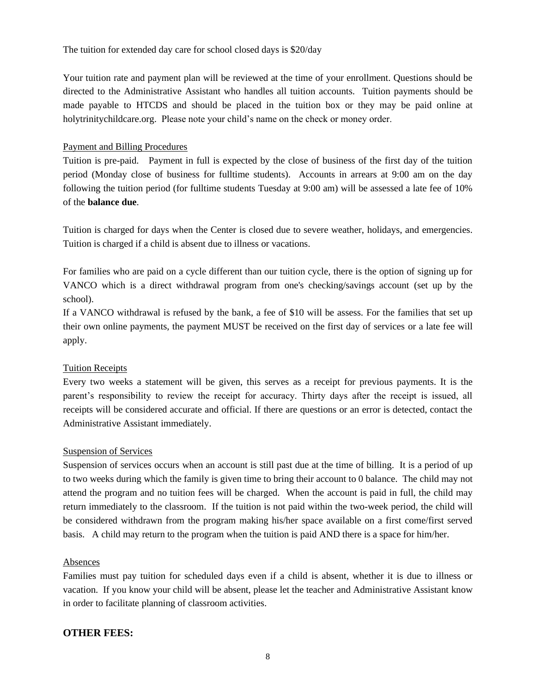The tuition for extended day care for school closed days is \$20/day

Your tuition rate and payment plan will be reviewed at the time of your enrollment. Questions should be directed to the Administrative Assistant who handles all tuition accounts. Tuition payments should be made payable to HTCDS and should be placed in the tuition box or they may be paid online at holytrinitychildcare.org. Please note your child's name on the check or money order.

#### Payment and Billing Procedures

Tuition is pre-paid. Payment in full is expected by the close of business of the first day of the tuition period (Monday close of business for fulltime students). Accounts in arrears at 9:00 am on the day following the tuition period (for fulltime students Tuesday at 9:00 am) will be assessed a late fee of 10% of the **balance due**.

Tuition is charged for days when the Center is closed due to severe weather, holidays, and emergencies. Tuition is charged if a child is absent due to illness or vacations.

For families who are paid on a cycle different than our tuition cycle, there is the option of signing up for VANCO which is a direct withdrawal program from one's checking/savings account (set up by the school).

If a VANCO withdrawal is refused by the bank, a fee of \$10 will be assess. For the families that set up their own online payments, the payment MUST be received on the first day of services or a late fee will apply.

#### Tuition Receipts

Every two weeks a statement will be given, this serves as a receipt for previous payments. It is the parent's responsibility to review the receipt for accuracy. Thirty days after the receipt is issued, all receipts will be considered accurate and official. If there are questions or an error is detected, contact the Administrative Assistant immediately.

#### Suspension of Services

Suspension of services occurs when an account is still past due at the time of billing. It is a period of up to two weeks during which the family is given time to bring their account to 0 balance. The child may not attend the program and no tuition fees will be charged. When the account is paid in full, the child may return immediately to the classroom. If the tuition is not paid within the two-week period, the child will be considered withdrawn from the program making his/her space available on a first come/first served basis. A child may return to the program when the tuition is paid AND there is a space for him/her.

#### Absences

Families must pay tuition for scheduled days even if a child is absent, whether it is due to illness or vacation. If you know your child will be absent, please let the teacher and Administrative Assistant know in order to facilitate planning of classroom activities.

#### **OTHER FEES:**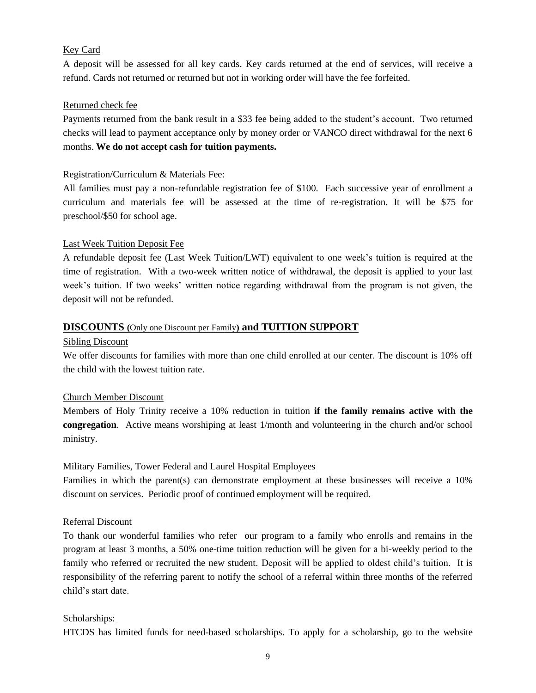#### Key Card

A deposit will be assessed for all key cards. Key cards returned at the end of services, will receive a refund. Cards not returned or returned but not in working order will have the fee forfeited.

#### Returned check fee

Payments returned from the bank result in a \$33 fee being added to the student's account. Two returned checks will lead to payment acceptance only by money order or VANCO direct withdrawal for the next 6 months. **We do not accept cash for tuition payments.**

#### Registration/Curriculum & Materials Fee:

All families must pay a non-refundable registration fee of \$100. Each successive year of enrollment a curriculum and materials fee will be assessed at the time of re-registration. It will be \$75 for preschool/\$50 for school age.

#### Last Week Tuition Deposit Fee

A refundable deposit fee (Last Week Tuition/LWT) equivalent to one week's tuition is required at the time of registration. With a two-week written notice of withdrawal, the deposit is applied to your last week's tuition. If two weeks' written notice regarding withdrawal from the program is not given, the deposit will not be refunded.

#### **DISCOUNTS (**Only one Discount per Family**) and TUITION SUPPORT**

#### Sibling Discount

We offer discounts for families with more than one child enrolled at our center. The discount is 10% off the child with the lowest tuition rate.

#### Church Member Discount

Members of Holy Trinity receive a 10% reduction in tuition **if the family remains active with the congregation**. Active means worshiping at least 1/month and volunteering in the church and/or school ministry.

#### Military Families, Tower Federal and Laurel Hospital Employees

Families in which the parent(s) can demonstrate employment at these businesses will receive a 10% discount on services. Periodic proof of continued employment will be required.

#### Referral Discount

To thank our wonderful families who refer our program to a family who enrolls and remains in the program at least 3 months, a 50% one-time tuition reduction will be given for a bi-weekly period to the family who referred or recruited the new student. Deposit will be applied to oldest child's tuition. It is responsibility of the referring parent to notify the school of a referral within three months of the referred child's start date.

#### Scholarships:

HTCDS has limited funds for need-based scholarships. To apply for a scholarship, go to the website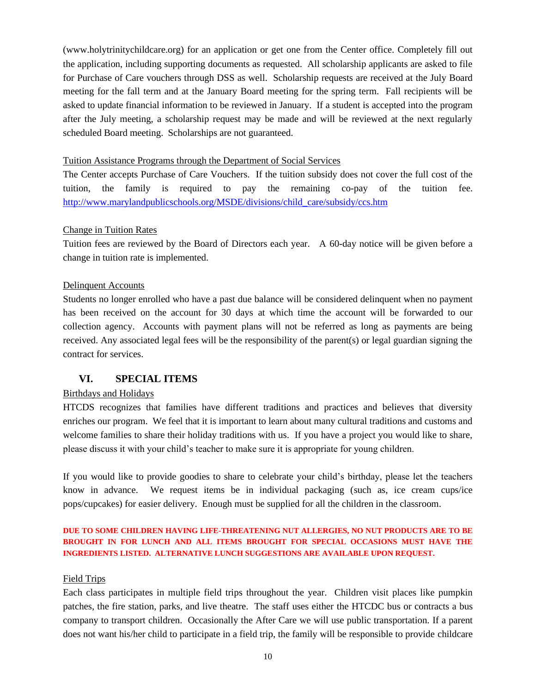(www.holytrinitychildcare.org) for an application or get one from the Center office. Completely fill out the application, including supporting documents as requested. All scholarship applicants are asked to file for Purchase of Care vouchers through DSS as well. Scholarship requests are received at the July Board meeting for the fall term and at the January Board meeting for the spring term. Fall recipients will be asked to update financial information to be reviewed in January. If a student is accepted into the program after the July meeting, a scholarship request may be made and will be reviewed at the next regularly scheduled Board meeting. Scholarships are not guaranteed.

#### Tuition Assistance Programs through the Department of Social Services

The Center accepts Purchase of Care Vouchers. If the tuition subsidy does not cover the full cost of the tuition, the family is required to pay the remaining co-pay of the tuition fee. [http://www.marylandpublicschools.org/MSDE/divisions/child\\_care/subsidy/ccs.htm](http://www.marylandpublicschools.org/MSDE/divisions/child_care/subsidy/ccs.htm)

#### Change in Tuition Rates

Tuition fees are reviewed by the Board of Directors each year. A 60-day notice will be given before a change in tuition rate is implemented.

#### Delinquent Accounts

Students no longer enrolled who have a past due balance will be considered delinquent when no payment has been received on the account for 30 days at which time the account will be forwarded to our collection agency. Accounts with payment plans will not be referred as long as payments are being received. Any associated legal fees will be the responsibility of the parent(s) or legal guardian signing the contract for services.

#### **VI. SPECIAL ITEMS**

#### Birthdays and Holidays

HTCDS recognizes that families have different traditions and practices and believes that diversity enriches our program. We feel that it is important to learn about many cultural traditions and customs and welcome families to share their holiday traditions with us. If you have a project you would like to share, please discuss it with your child's teacher to make sure it is appropriate for young children.

If you would like to provide goodies to share to celebrate your child's birthday, please let the teachers know in advance. We request items be in individual packaging (such as, ice cream cups/ice pops/cupcakes) for easier delivery. Enough must be supplied for all the children in the classroom.

#### **DUE TO SOME CHILDREN HAVING LIFE-THREATENING NUT ALLERGIES, NO NUT PRODUCTS ARE TO BE BROUGHT IN FOR LUNCH AND ALL ITEMS BROUGHT FOR SPECIAL OCCASIONS MUST HAVE THE INGREDIENTS LISTED. ALTERNATIVE LUNCH SUGGESTIONS ARE AVAILABLE UPON REQUEST.**

#### Field Trips

Each class participates in multiple field trips throughout the year. Children visit places like pumpkin patches, the fire station, parks, and live theatre. The staff uses either the HTCDC bus or contracts a bus company to transport children. Occasionally the After Care we will use public transportation. If a parent does not want his/her child to participate in a field trip, the family will be responsible to provide childcare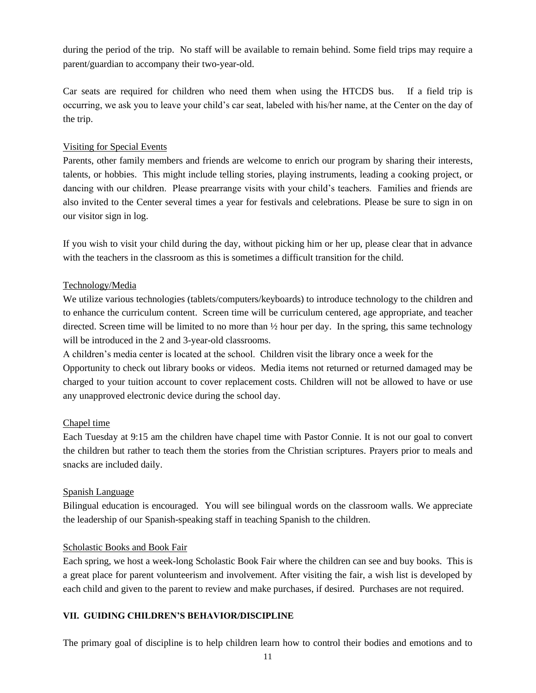during the period of the trip. No staff will be available to remain behind. Some field trips may require a parent/guardian to accompany their two-year-old.

Car seats are required for children who need them when using the HTCDS bus. If a field trip is occurring, we ask you to leave your child's car seat, labeled with his/her name, at the Center on the day of the trip.

#### Visiting for Special Events

Parents, other family members and friends are welcome to enrich our program by sharing their interests, talents, or hobbies. This might include telling stories, playing instruments, leading a cooking project, or dancing with our children. Please prearrange visits with your child's teachers. Families and friends are also invited to the Center several times a year for festivals and celebrations. Please be sure to sign in on our visitor sign in log.

If you wish to visit your child during the day, without picking him or her up, please clear that in advance with the teachers in the classroom as this is sometimes a difficult transition for the child.

#### Technology/Media

We utilize various technologies (tablets/computers/keyboards) to introduce technology to the children and to enhance the curriculum content. Screen time will be curriculum centered, age appropriate, and teacher directed. Screen time will be limited to no more than ½ hour per day. In the spring, this same technology will be introduced in the 2 and 3-year-old classrooms.

A children's media center is located at the school. Children visit the library once a week for the Opportunity to check out library books or videos. Media items not returned or returned damaged may be charged to your tuition account to cover replacement costs. Children will not be allowed to have or use any unapproved electronic device during the school day.

#### Chapel time

Each Tuesday at 9:15 am the children have chapel time with Pastor Connie. It is not our goal to convert the children but rather to teach them the stories from the Christian scriptures. Prayers prior to meals and snacks are included daily.

#### Spanish Language

Bilingual education is encouraged. You will see bilingual words on the classroom walls. We appreciate the leadership of our Spanish-speaking staff in teaching Spanish to the children.

#### Scholastic Books and Book Fair

Each spring, we host a week-long Scholastic Book Fair where the children can see and buy books. This is a great place for parent volunteerism and involvement. After visiting the fair, a wish list is developed by each child and given to the parent to review and make purchases, if desired. Purchases are not required.

#### **VII. GUIDING CHILDREN'S BEHAVIOR/DISCIPLINE**

The primary goal of discipline is to help children learn how to control their bodies and emotions and to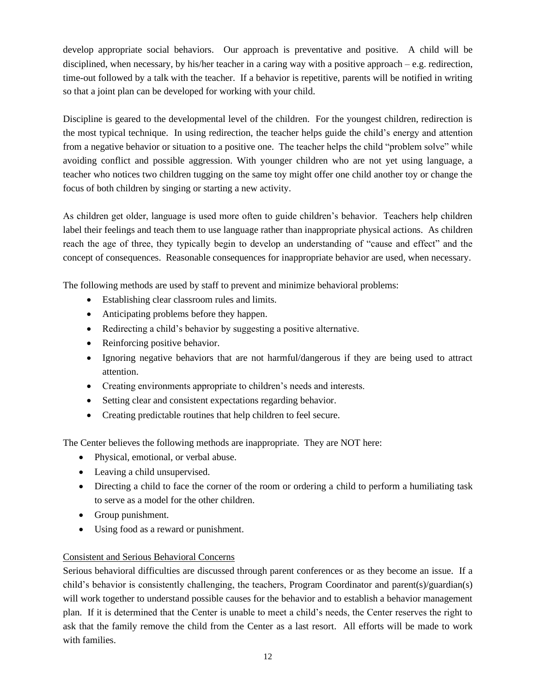develop appropriate social behaviors. Our approach is preventative and positive. A child will be disciplined, when necessary, by his/her teacher in a caring way with a positive approach – e.g. redirection, time-out followed by a talk with the teacher. If a behavior is repetitive, parents will be notified in writing so that a joint plan can be developed for working with your child.

Discipline is geared to the developmental level of the children. For the youngest children, redirection is the most typical technique. In using redirection, the teacher helps guide the child's energy and attention from a negative behavior or situation to a positive one. The teacher helps the child "problem solve" while avoiding conflict and possible aggression. With younger children who are not yet using language, a teacher who notices two children tugging on the same toy might offer one child another toy or change the focus of both children by singing or starting a new activity.

As children get older, language is used more often to guide children's behavior. Teachers help children label their feelings and teach them to use language rather than inappropriate physical actions. As children reach the age of three, they typically begin to develop an understanding of "cause and effect" and the concept of consequences. Reasonable consequences for inappropriate behavior are used, when necessary.

The following methods are used by staff to prevent and minimize behavioral problems:

- Establishing clear classroom rules and limits.
- Anticipating problems before they happen.
- Redirecting a child's behavior by suggesting a positive alternative.
- Reinforcing positive behavior.
- Ignoring negative behaviors that are not harmful/dangerous if they are being used to attract attention.
- Creating environments appropriate to children's needs and interests.
- Setting clear and consistent expectations regarding behavior.
- Creating predictable routines that help children to feel secure.

The Center believes the following methods are inappropriate. They are NOT here:

- Physical, emotional, or verbal abuse.
- Leaving a child unsupervised.
- Directing a child to face the corner of the room or ordering a child to perform a humiliating task to serve as a model for the other children.
- Group punishment.
- Using food as a reward or punishment.

#### Consistent and Serious Behavioral Concerns

Serious behavioral difficulties are discussed through parent conferences or as they become an issue. If a child's behavior is consistently challenging, the teachers, Program Coordinator and parent(s)/guardian(s) will work together to understand possible causes for the behavior and to establish a behavior management plan. If it is determined that the Center is unable to meet a child's needs, the Center reserves the right to ask that the family remove the child from the Center as a last resort. All efforts will be made to work with families.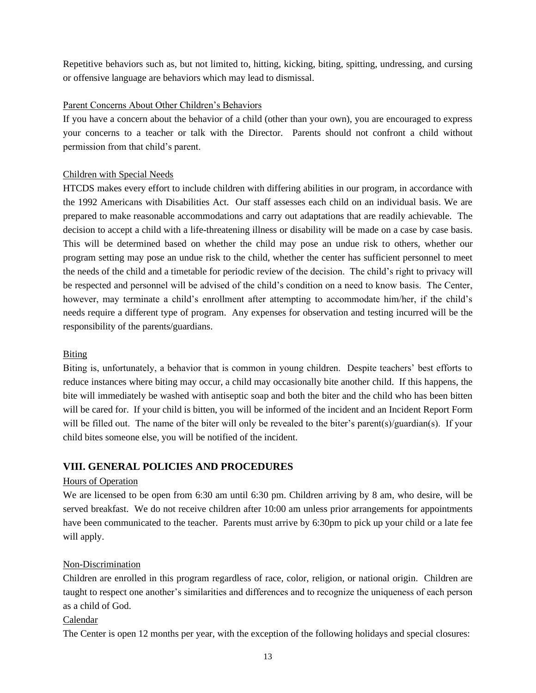Repetitive behaviors such as, but not limited to, hitting, kicking, biting, spitting, undressing, and cursing or offensive language are behaviors which may lead to dismissal.

#### Parent Concerns About Other Children's Behaviors

If you have a concern about the behavior of a child (other than your own), you are encouraged to express your concerns to a teacher or talk with the Director. Parents should not confront a child without permission from that child's parent.

#### Children with Special Needs

HTCDS makes every effort to include children with differing abilities in our program, in accordance with the 1992 Americans with Disabilities Act. Our staff assesses each child on an individual basis. We are prepared to make reasonable accommodations and carry out adaptations that are readily achievable. The decision to accept a child with a life-threatening illness or disability will be made on a case by case basis. This will be determined based on whether the child may pose an undue risk to others, whether our program setting may pose an undue risk to the child, whether the center has sufficient personnel to meet the needs of the child and a timetable for periodic review of the decision. The child's right to privacy will be respected and personnel will be advised of the child's condition on a need to know basis. The Center, however, may terminate a child's enrollment after attempting to accommodate him/her, if the child's needs require a different type of program. Any expenses for observation and testing incurred will be the responsibility of the parents/guardians.

#### Biting

Biting is, unfortunately, a behavior that is common in young children. Despite teachers' best efforts to reduce instances where biting may occur, a child may occasionally bite another child. If this happens, the bite will immediately be washed with antiseptic soap and both the biter and the child who has been bitten will be cared for. If your child is bitten, you will be informed of the incident and an Incident Report Form will be filled out. The name of the biter will only be revealed to the biter's parent(s)/guardian(s). If your child bites someone else, you will be notified of the incident.

#### **VIII. GENERAL POLICIES AND PROCEDURES**

#### Hours of Operation

We are licensed to be open from 6:30 am until 6:30 pm. Children arriving by 8 am, who desire, will be served breakfast. We do not receive children after 10:00 am unless prior arrangements for appointments have been communicated to the teacher. Parents must arrive by 6:30pm to pick up your child or a late fee will apply.

#### Non-Discrimination

Children are enrolled in this program regardless of race, color, religion, or national origin. Children are taught to respect one another's similarities and differences and to recognize the uniqueness of each person as a child of God.

#### Calendar

The Center is open 12 months per year, with the exception of the following holidays and special closures: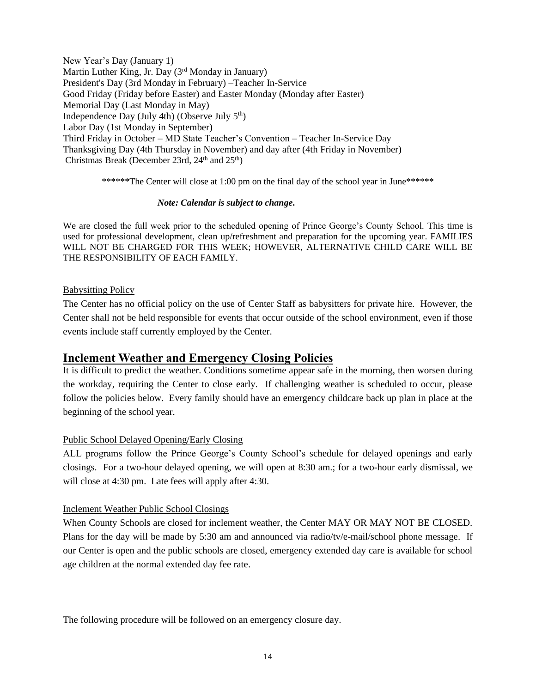New Year's Day (January 1) Martin Luther King, Jr. Day (3<sup>rd</sup> Monday in January) President's Day (3rd Monday in February) –Teacher In-Service Good Friday (Friday before Easter) and Easter Monday (Monday after Easter) Memorial Day (Last Monday in May) Independence Day (July 4th) (Observe July  $5<sup>th</sup>$ ) Labor Day (1st Monday in September) Third Friday in October – MD State Teacher's Convention – Teacher In-Service Day Thanksgiving Day (4th Thursday in November) and day after (4th Friday in November) Christmas Break (December 23rd,  $24<sup>th</sup>$  and  $25<sup>th</sup>$ )

\*\*\*\*\*\*The Center will close at 1:00 pm on the final day of the school year in June\*\*\*\*\*\*

#### *Note: Calendar is subject to change***.**

We are closed the full week prior to the scheduled opening of Prince George's County School. This time is used for professional development, clean up/refreshment and preparation for the upcoming year. FAMILIES WILL NOT BE CHARGED FOR THIS WEEK; HOWEVER, ALTERNATIVE CHILD CARE WILL BE THE RESPONSIBILITY OF EACH FAMILY.

#### Babysitting Policy

The Center has no official policy on the use of Center Staff as babysitters for private hire. However, the Center shall not be held responsible for events that occur outside of the school environment, even if those events include staff currently employed by the Center.

#### **Inclement Weather and Emergency Closing Policies**

It is difficult to predict the weather. Conditions sometime appear safe in the morning, then worsen during the workday, requiring the Center to close early. If challenging weather is scheduled to occur, please follow the policies below. Every family should have an emergency childcare back up plan in place at the beginning of the school year.

#### Public School Delayed Opening/Early Closing

ALL programs follow the Prince George's County School's schedule for delayed openings and early closings. For a two-hour delayed opening, we will open at 8:30 am.; for a two-hour early dismissal, we will close at 4:30 pm. Late fees will apply after 4:30.

#### Inclement Weather Public School Closings

When County Schools are closed for inclement weather, the Center MAY OR MAY NOT BE CLOSED. Plans for the day will be made by 5:30 am and announced via radio/tv/e-mail/school phone message. If our Center is open and the public schools are closed, emergency extended day care is available for school age children at the normal extended day fee rate.

The following procedure will be followed on an emergency closure day.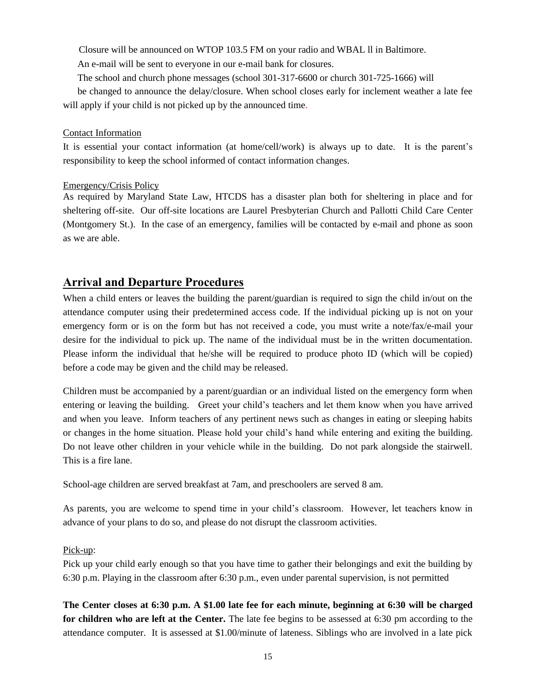Closure will be announced on WTOP 103.5 FM on your radio and WBAL ll in Baltimore.

An e-mail will be sent to everyone in our e-mail bank for closures.

The school and church phone messages (school 301-317-6600 or church 301-725-1666) will

 be changed to announce the delay/closure. When school closes early for inclement weather a late fee will apply if your child is not picked up by the announced time.

#### Contact Information

It is essential your contact information (at home/cell/work) is always up to date. It is the parent's responsibility to keep the school informed of contact information changes.

#### Emergency/Crisis Policy

As required by Maryland State Law, HTCDS has a disaster plan both for sheltering in place and for sheltering off-site. Our off-site locations are Laurel Presbyterian Church and Pallotti Child Care Center (Montgomery St.). In the case of an emergency, families will be contacted by e-mail and phone as soon as we are able.

### **Arrival and Departure Procedures**

When a child enters or leaves the building the parent/guardian is required to sign the child in/out on the attendance computer using their predetermined access code. If the individual picking up is not on your emergency form or is on the form but has not received a code, you must write a note/fax/e-mail your desire for the individual to pick up. The name of the individual must be in the written documentation. Please inform the individual that he/she will be required to produce photo ID (which will be copied) before a code may be given and the child may be released.

Children must be accompanied by a parent/guardian or an individual listed on the emergency form when entering or leaving the building. Greet your child's teachers and let them know when you have arrived and when you leave. Inform teachers of any pertinent news such as changes in eating or sleeping habits or changes in the home situation. Please hold your child's hand while entering and exiting the building. Do not leave other children in your vehicle while in the building. Do not park alongside the stairwell. This is a fire lane.

School-age children are served breakfast at 7am, and preschoolers are served 8 am.

As parents, you are welcome to spend time in your child's classroom. However, let teachers know in advance of your plans to do so, and please do not disrupt the classroom activities.

#### Pick-up:

Pick up your child early enough so that you have time to gather their belongings and exit the building by 6:30 p.m. Playing in the classroom after 6:30 p.m., even under parental supervision, is not permitted

**The Center closes at 6:30 p.m. A \$1.00 late fee for each minute, beginning at 6:30 will be charged for children who are left at the Center.** The late fee begins to be assessed at 6:30 pm according to the attendance computer. It is assessed at \$1.00/minute of lateness. Siblings who are involved in a late pick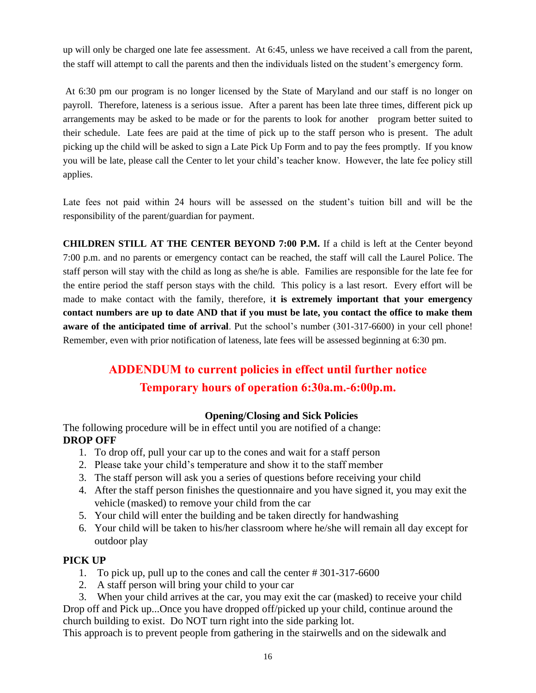up will only be charged one late fee assessment. At 6:45, unless we have received a call from the parent, the staff will attempt to call the parents and then the individuals listed on the student's emergency form.

At 6:30 pm our program is no longer licensed by the State of Maryland and our staff is no longer on payroll. Therefore, lateness is a serious issue. After a parent has been late three times, different pick up arrangements may be asked to be made or for the parents to look for another program better suited to their schedule. Late fees are paid at the time of pick up to the staff person who is present. The adult picking up the child will be asked to sign a Late Pick Up Form and to pay the fees promptly. If you know you will be late, please call the Center to let your child's teacher know. However, the late fee policy still applies.

Late fees not paid within 24 hours will be assessed on the student's tuition bill and will be the responsibility of the parent/guardian for payment.

**CHILDREN STILL AT THE CENTER BEYOND 7:00 P.M.** If a child is left at the Center beyond 7:00 p.m. and no parents or emergency contact can be reached, the staff will call the Laurel Police. The staff person will stay with the child as long as she/he is able. Families are responsible for the late fee for the entire period the staff person stays with the child. This policy is a last resort. Every effort will be made to make contact with the family, therefore, i**t is extremely important that your emergency contact numbers are up to date AND that if you must be late, you contact the office to make them aware of the anticipated time of arrival**. Put the school's number (301-317-6600) in your cell phone! Remember, even with prior notification of lateness, late fees will be assessed beginning at 6:30 pm.

## **ADDENDUM to current policies in effect until further notice Temporary hours of operation 6:30a.m.-6:00p.m.**

#### **Opening/Closing and Sick Policies**

The following procedure will be in effect until you are notified of a change: **DROP OFF**

- 1. To drop off, pull your car up to the cones and wait for a staff person
- 2. Please take your child's temperature and show it to the staff member
- 3. The staff person will ask you a series of questions before receiving your child
- 4. After the staff person finishes the questionnaire and you have signed it, you may exit the vehicle (masked) to remove your child from the car
- 5. Your child will enter the building and be taken directly for handwashing
- 6. Your child will be taken to his/her classroom where he/she will remain all day except for outdoor play

#### **PICK UP**

- 1. To pick up, pull up to the cones and call the center # 301-317-6600
- 2. A staff person will bring your child to your car

 3. When your child arrives at the car, you may exit the car (masked) to receive your child Drop off and Pick up...Once you have dropped off/picked up your child, continue around the church building to exist. Do NOT turn right into the side parking lot.

This approach is to prevent people from gathering in the stairwells and on the sidewalk and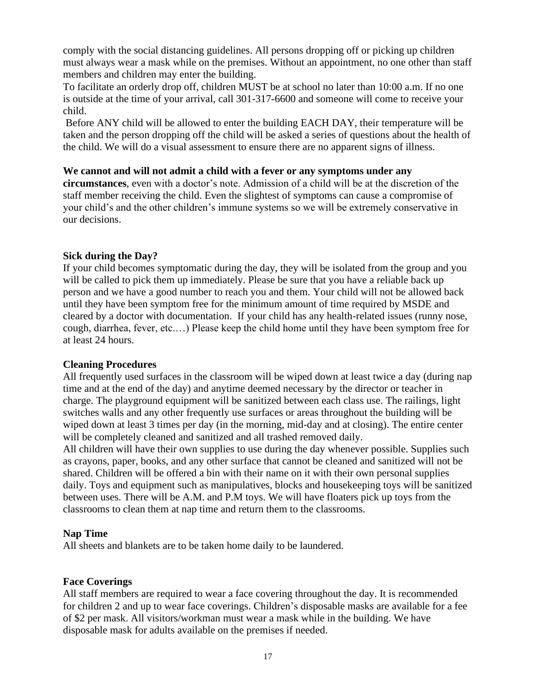comply with the social distancing guidelines. All persons dropping off or picking up children must always wear a mask while on the premises. Without an appointment, no one other than staff members and children may enter the building.

To facilitate an orderly drop off, children MUST be at school no later than 10:00 a.m. If no one is outside at the time of your arrival, call 301-317-6600 and someone will come to receive your child.

Before ANY child will be allowed to enter the building EACH DAY, their temperature will be taken and the person dropping off the child will be asked a series of questions about the health of the child. We will do a visual assessment to ensure there are no apparent signs of illness.

#### **We cannot and will not admit a child with a fever or any symptoms under any**

**circumstances**, even with a doctor's note. Admission of a child will be at the discretion of the staff member receiving the child. Even the slightest of symptoms can cause a compromise of your child's and the other children's immune systems so we will be extremely conservative in our decisions.

#### **Sick during the Day?**

If your child becomes symptomatic during the day, they will be isolated from the group and you will be called to pick them up immediately. Please be sure that you have a reliable back up person and we have a good number to reach you and them. Your child will not be allowed back until they have been symptom free for the minimum amount of time required by MSDE and cleared by a doctor with documentation. If your child has any health-related issues (runny nose, cough, diarrhea, fever, etc.…) Please keep the child home until they have been symptom free for at least 24 hours.

#### **Cleaning Procedures**

All frequently used surfaces in the classroom will be wiped down at least twice a day (during nap time and at the end of the day) and anytime deemed necessary by the director or teacher in charge. The playground equipment will be sanitized between each class use. The railings, light switches walls and any other frequently use surfaces or areas throughout the building will be wiped down at least 3 times per day (in the morning, mid-day and at closing). The entire center will be completely cleaned and sanitized and all trashed removed daily.

All children will have their own supplies to use during the day whenever possible. Supplies such as crayons, paper, books, and any other surface that cannot be cleaned and sanitized will not be shared. Children will be offered a bin with their name on it with their own personal supplies daily. Toys and equipment such as manipulatives, blocks and housekeeping toys will be sanitized between uses. There will be A.M. and P.M toys. We will have floaters pick up toys from the classrooms to clean them at nap time and return them to the classrooms.

#### **Nap Time**

All sheets and blankets are to be taken home daily to be laundered.

#### **Face Coverings**

All staff members are required to wear a face covering throughout the day. It is recommended for children 2 and up to wear face coverings. Children's disposable masks are available for a fee of \$2 per mask. All visitors/workman must wear a mask while in the building. We have disposable mask for adults available on the premises if needed.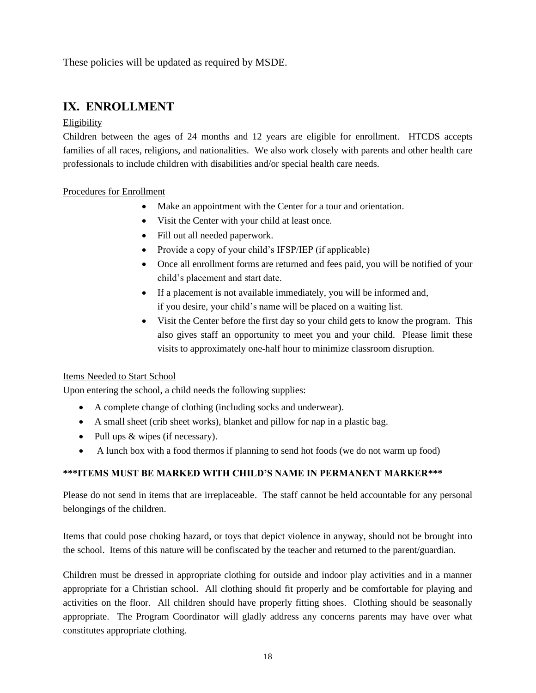These policies will be updated as required by MSDE.

## **IX. ENROLLMENT**

#### Eligibility

Children between the ages of 24 months and 12 years are eligible for enrollment. HTCDS accepts families of all races, religions, and nationalities. We also work closely with parents and other health care professionals to include children with disabilities and/or special health care needs.

#### Procedures for Enrollment

- Make an appointment with the Center for a tour and orientation.
- Visit the Center with your child at least once.
- Fill out all needed paperwork.
- Provide a copy of your child's IFSP/IEP (if applicable)
- Once all enrollment forms are returned and fees paid, you will be notified of your child's placement and start date.
- If a placement is not available immediately, you will be informed and, if you desire, your child's name will be placed on a waiting list.
- Visit the Center before the first day so your child gets to know the program. This also gives staff an opportunity to meet you and your child. Please limit these visits to approximately one-half hour to minimize classroom disruption.

#### Items Needed to Start School

Upon entering the school, a child needs the following supplies:

- A complete change of clothing (including socks and underwear).
- A small sheet (crib sheet works), blanket and pillow for nap in a plastic bag.
- Pull ups & wipes (if necessary).
- A lunch box with a food thermos if planning to send hot foods (we do not warm up food)

#### **\*\*\*ITEMS MUST BE MARKED WITH CHILD'S NAME IN PERMANENT MARKER\*\*\***

Please do not send in items that are irreplaceable. The staff cannot be held accountable for any personal belongings of the children.

Items that could pose choking hazard, or toys that depict violence in anyway, should not be brought into the school. Items of this nature will be confiscated by the teacher and returned to the parent/guardian.

Children must be dressed in appropriate clothing for outside and indoor play activities and in a manner appropriate for a Christian school. All clothing should fit properly and be comfortable for playing and activities on the floor. All children should have properly fitting shoes. Clothing should be seasonally appropriate. The Program Coordinator will gladly address any concerns parents may have over what constitutes appropriate clothing.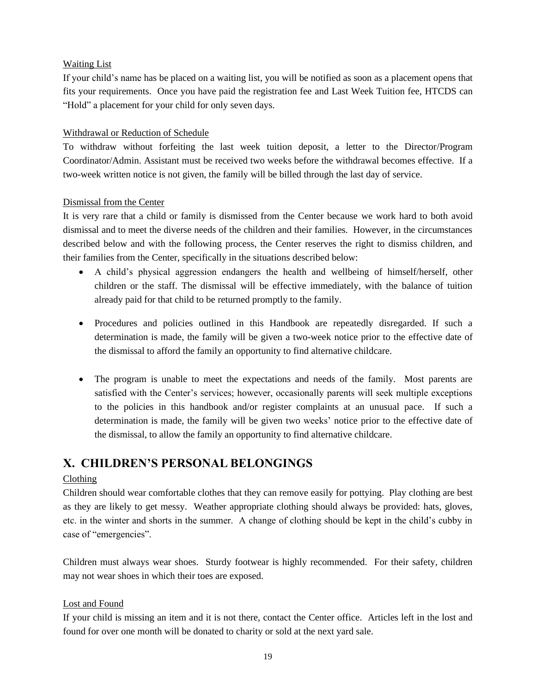#### Waiting List

If your child's name has be placed on a waiting list, you will be notified as soon as a placement opens that fits your requirements. Once you have paid the registration fee and Last Week Tuition fee, HTCDS can "Hold" a placement for your child for only seven days.

#### Withdrawal or Reduction of Schedule

To withdraw without forfeiting the last week tuition deposit, a letter to the Director/Program Coordinator/Admin. Assistant must be received two weeks before the withdrawal becomes effective. If a two-week written notice is not given, the family will be billed through the last day of service.

#### Dismissal from the Center

It is very rare that a child or family is dismissed from the Center because we work hard to both avoid dismissal and to meet the diverse needs of the children and their families. However, in the circumstances described below and with the following process, the Center reserves the right to dismiss children, and their families from the Center, specifically in the situations described below:

- A child's physical aggression endangers the health and wellbeing of himself/herself, other children or the staff. The dismissal will be effective immediately, with the balance of tuition already paid for that child to be returned promptly to the family.
- Procedures and policies outlined in this Handbook are repeatedly disregarded. If such a determination is made, the family will be given a two-week notice prior to the effective date of the dismissal to afford the family an opportunity to find alternative childcare.
- The program is unable to meet the expectations and needs of the family. Most parents are satisfied with the Center's services; however, occasionally parents will seek multiple exceptions to the policies in this handbook and/or register complaints at an unusual pace. If such a determination is made, the family will be given two weeks' notice prior to the effective date of the dismissal, to allow the family an opportunity to find alternative childcare.

## **X. CHILDREN'S PERSONAL BELONGINGS**

#### Clothing

Children should wear comfortable clothes that they can remove easily for pottying. Play clothing are best as they are likely to get messy. Weather appropriate clothing should always be provided: hats, gloves, etc. in the winter and shorts in the summer. A change of clothing should be kept in the child's cubby in case of "emergencies".

Children must always wear shoes. Sturdy footwear is highly recommended. For their safety, children may not wear shoes in which their toes are exposed.

#### Lost and Found

If your child is missing an item and it is not there, contact the Center office. Articles left in the lost and found for over one month will be donated to charity or sold at the next yard sale.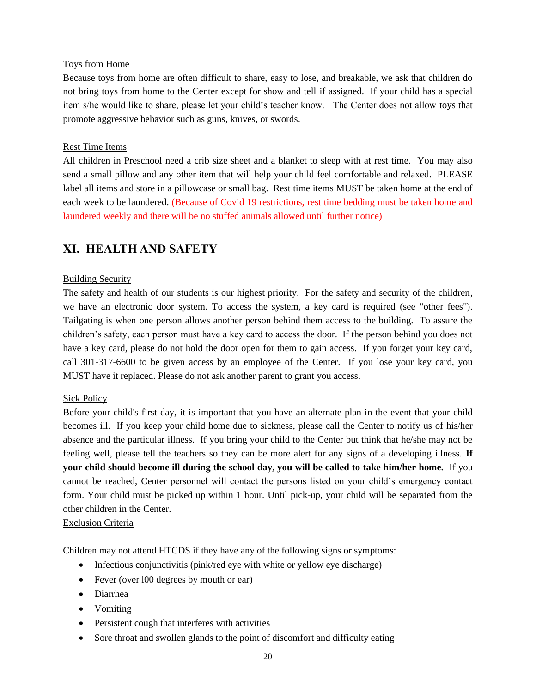#### Toys from Home

Because toys from home are often difficult to share, easy to lose, and breakable, we ask that children do not bring toys from home to the Center except for show and tell if assigned. If your child has a special item s/he would like to share, please let your child's teacher know. The Center does not allow toys that promote aggressive behavior such as guns, knives, or swords.

#### Rest Time Items

All children in Preschool need a crib size sheet and a blanket to sleep with at rest time. You may also send a small pillow and any other item that will help your child feel comfortable and relaxed. PLEASE label all items and store in a pillowcase or small bag. Rest time items MUST be taken home at the end of each week to be laundered. (Because of Covid 19 restrictions, rest time bedding must be taken home and laundered weekly and there will be no stuffed animals allowed until further notice)

## **XI. HEALTH AND SAFETY**

#### Building Security

The safety and health of our students is our highest priority. For the safety and security of the children, we have an electronic door system. To access the system, a key card is required (see "other fees"). Tailgating is when one person allows another person behind them access to the building. To assure the children's safety, each person must have a key card to access the door. If the person behind you does not have a key card, please do not hold the door open for them to gain access. If you forget your key card, call 301-317-6600 to be given access by an employee of the Center. If you lose your key card, you MUST have it replaced. Please do not ask another parent to grant you access.

#### Sick Policy

Before your child's first day, it is important that you have an alternate plan in the event that your child becomes ill. If you keep your child home due to sickness, please call the Center to notify us of his/her absence and the particular illness. If you bring your child to the Center but think that he/she may not be feeling well, please tell the teachers so they can be more alert for any signs of a developing illness. **If your child should become ill during the school day, you will be called to take him/her home.** If you cannot be reached, Center personnel will contact the persons listed on your child's emergency contact form. Your child must be picked up within 1 hour. Until pick-up, your child will be separated from the other children in the Center.

#### Exclusion Criteria

Children may not attend HTCDS if they have any of the following signs or symptoms:

- Infectious conjunctivitis (pink/red eye with white or yellow eye discharge)
- Fever (over 100 degrees by mouth or ear)
- Diarrhea
- Vomiting
- Persistent cough that interferes with activities
- Sore throat and swollen glands to the point of discomfort and difficulty eating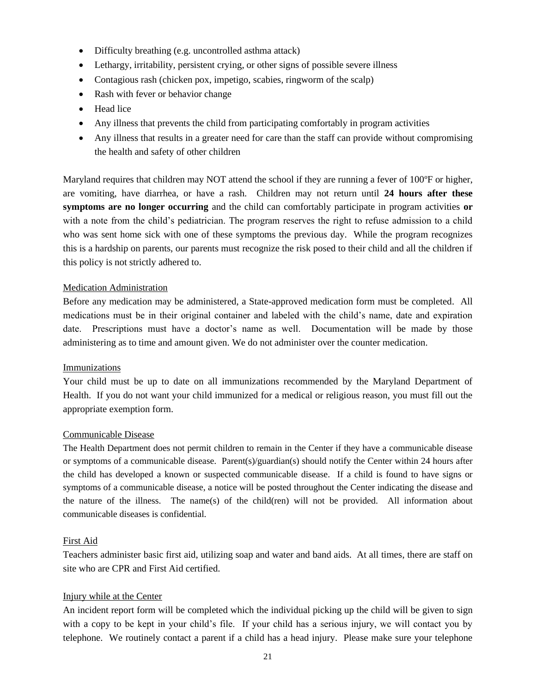- Difficulty breathing (e.g. uncontrolled asthma attack)
- Lethargy, irritability, persistent crying, or other signs of possible severe illness
- Contagious rash (chicken pox, impetigo, scabies, ringworm of the scalp)
- Rash with fever or behavior change
- Head lice
- Any illness that prevents the child from participating comfortably in program activities
- Any illness that results in a greater need for care than the staff can provide without compromising the health and safety of other children

Maryland requires that children may NOT attend the school if they are running a fever of 100°F or higher, are vomiting, have diarrhea, or have a rash. Children may not return until **24 hours after these symptoms are no longer occurring** and the child can comfortably participate in program activities **or** with a note from the child's pediatrician. The program reserves the right to refuse admission to a child who was sent home sick with one of these symptoms the previous day. While the program recognizes this is a hardship on parents, our parents must recognize the risk posed to their child and all the children if this policy is not strictly adhered to.

#### Medication Administration

Before any medication may be administered, a State-approved medication form must be completed. All medications must be in their original container and labeled with the child's name, date and expiration date. Prescriptions must have a doctor's name as well. Documentation will be made by those administering as to time and amount given. We do not administer over the counter medication.

#### Immunizations

Your child must be up to date on all immunizations recommended by the Maryland Department of Health. If you do not want your child immunized for a medical or religious reason, you must fill out the appropriate exemption form.

#### Communicable Disease

The Health Department does not permit children to remain in the Center if they have a communicable disease or symptoms of a communicable disease. Parent(s)/guardian(s) should notify the Center within 24 hours after the child has developed a known or suspected communicable disease. If a child is found to have signs or symptoms of a communicable disease, a notice will be posted throughout the Center indicating the disease and the nature of the illness. The name(s) of the child(ren) will not be provided. All information about communicable diseases is confidential.

#### First Aid

Teachers administer basic first aid, utilizing soap and water and band aids. At all times, there are staff on site who are CPR and First Aid certified.

#### Injury while at the Center

An incident report form will be completed which the individual picking up the child will be given to sign with a copy to be kept in your child's file. If your child has a serious injury, we will contact you by telephone. We routinely contact a parent if a child has a head injury. Please make sure your telephone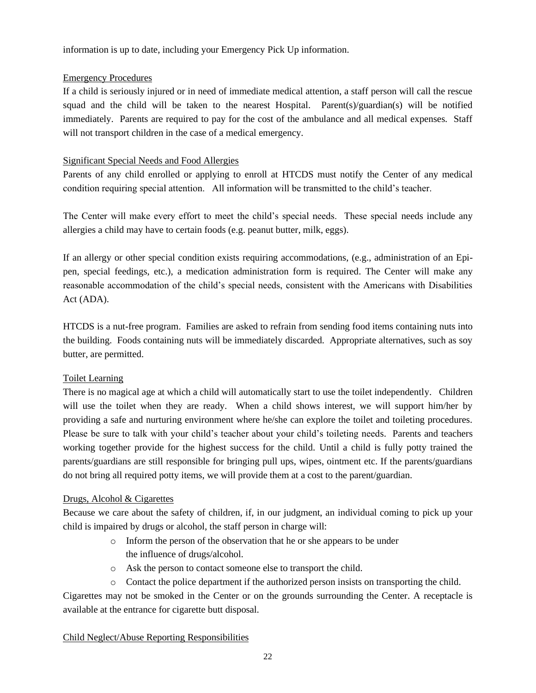information is up to date, including your Emergency Pick Up information.

#### Emergency Procedures

If a child is seriously injured or in need of immediate medical attention, a staff person will call the rescue squad and the child will be taken to the nearest Hospital. Parent(s)/guardian(s) will be notified immediately. Parents are required to pay for the cost of the ambulance and all medical expenses. Staff will not transport children in the case of a medical emergency.

#### Significant Special Needs and Food Allergies

Parents of any child enrolled or applying to enroll at HTCDS must notify the Center of any medical condition requiring special attention. All information will be transmitted to the child's teacher.

The Center will make every effort to meet the child's special needs. These special needs include any allergies a child may have to certain foods (e.g. peanut butter, milk, eggs).

If an allergy or other special condition exists requiring accommodations, (e.g., administration of an Epipen, special feedings, etc.), a medication administration form is required. The Center will make any reasonable accommodation of the child's special needs, consistent with the Americans with Disabilities Act (ADA).

HTCDS is a nut-free program. Families are asked to refrain from sending food items containing nuts into the building. Foods containing nuts will be immediately discarded. Appropriate alternatives, such as soy butter, are permitted.

#### Toilet Learning

There is no magical age at which a child will automatically start to use the toilet independently. Children will use the toilet when they are ready. When a child shows interest, we will support him/her by providing a safe and nurturing environment where he/she can explore the toilet and toileting procedures. Please be sure to talk with your child's teacher about your child's toileting needs. Parents and teachers working together provide for the highest success for the child. Until a child is fully potty trained the parents/guardians are still responsible for bringing pull ups, wipes, ointment etc. If the parents/guardians do not bring all required potty items, we will provide them at a cost to the parent/guardian.

#### Drugs, Alcohol & Cigarettes

Because we care about the safety of children, if, in our judgment, an individual coming to pick up your child is impaired by drugs or alcohol, the staff person in charge will:

- o Inform the person of the observation that he or she appears to be under the influence of drugs/alcohol.
- o Ask the person to contact someone else to transport the child.
- o Contact the police department if the authorized person insists on transporting the child.

Cigarettes may not be smoked in the Center or on the grounds surrounding the Center. A receptacle is available at the entrance for cigarette butt disposal.

#### Child Neglect/Abuse Reporting Responsibilities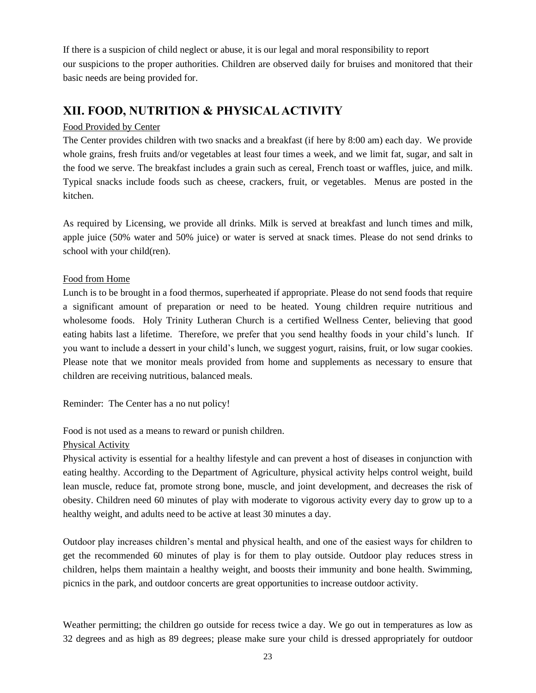If there is a suspicion of child neglect or abuse, it is our legal and moral responsibility to report our suspicions to the proper authorities. Children are observed daily for bruises and monitored that their basic needs are being provided for.

## **XII. FOOD, NUTRITION & PHYSICAL ACTIVITY**

#### Food Provided by Center

The Center provides children with two snacks and a breakfast (if here by 8:00 am) each day. We provide whole grains, fresh fruits and/or vegetables at least four times a week, and we limit fat, sugar, and salt in the food we serve. The breakfast includes a grain such as cereal, French toast or waffles, juice, and milk. Typical snacks include foods such as cheese, crackers, fruit, or vegetables. Menus are posted in the kitchen.

As required by Licensing, we provide all drinks. Milk is served at breakfast and lunch times and milk, apple juice (50% water and 50% juice) or water is served at snack times. Please do not send drinks to school with your child(ren).

#### Food from Home

Lunch is to be brought in a food thermos, superheated if appropriate. Please do not send foods that require a significant amount of preparation or need to be heated. Young children require nutritious and wholesome foods. Holy Trinity Lutheran Church is a certified Wellness Center, believing that good eating habits last a lifetime. Therefore, we prefer that you send healthy foods in your child's lunch. If you want to include a dessert in your child's lunch, we suggest yogurt, raisins, fruit, or low sugar cookies. Please note that we monitor meals provided from home and supplements as necessary to ensure that children are receiving nutritious, balanced meals.

Reminder: The Center has a no nut policy!

Food is not used as a means to reward or punish children.

#### Physical Activity

Physical activity is essential for a healthy lifestyle and can prevent a host of diseases in conjunction with eating healthy. According to the Department of Agriculture, physical activity helps control weight, build lean muscle, reduce fat, promote strong bone, muscle, and joint development, and decreases the risk of obesity. Children need 60 minutes of play with moderate to vigorous activity every day to grow up to a healthy weight, and adults need to be active at least 30 minutes a day.

Outdoor play increases children's mental and physical health, and one of the easiest ways for children to get the recommended 60 minutes of play is for them to play outside. Outdoor play reduces stress in children, helps them maintain a healthy weight, and boosts their immunity and bone health. Swimming, picnics in the park, and outdoor concerts are great opportunities to increase outdoor activity.

Weather permitting; the children go outside for recess twice a day. We go out in temperatures as low as 32 degrees and as high as 89 degrees; please make sure your child is dressed appropriately for outdoor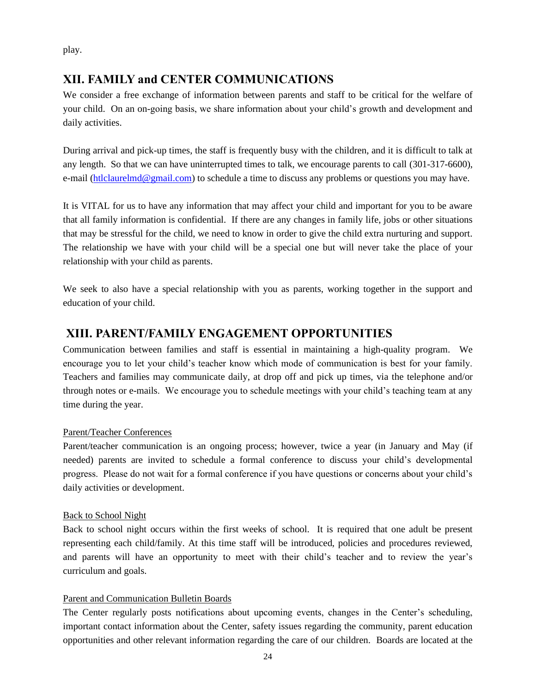play.

## **XII. FAMILY and CENTER COMMUNICATIONS**

We consider a free exchange of information between parents and staff to be critical for the welfare of your child. On an on-going basis, we share information about your child's growth and development and daily activities.

During arrival and pick-up times, the staff is frequently busy with the children, and it is difficult to talk at any length. So that we can have uninterrupted times to talk, we encourage parents to call (301-317-6600), e-mail [\(htlclaurelmd@gmail.com\)](mailto:htlclaurelmd@gmail.com) to schedule a time to discuss any problems or questions you may have.

It is VITAL for us to have any information that may affect your child and important for you to be aware that all family information is confidential. If there are any changes in family life, jobs or other situations that may be stressful for the child, we need to know in order to give the child extra nurturing and support. The relationship we have with your child will be a special one but will never take the place of your relationship with your child as parents.

We seek to also have a special relationship with you as parents, working together in the support and education of your child.

## **XIII. PARENT/FAMILY ENGAGEMENT OPPORTUNITIES**

Communication between families and staff is essential in maintaining a high-quality program. We encourage you to let your child's teacher know which mode of communication is best for your family. Teachers and families may communicate daily, at drop off and pick up times, via the telephone and/or through notes or e-mails. We encourage you to schedule meetings with your child's teaching team at any time during the year.

#### Parent/Teacher Conferences

Parent/teacher communication is an ongoing process; however, twice a year (in January and May (if needed) parents are invited to schedule a formal conference to discuss your child's developmental progress. Please do not wait for a formal conference if you have questions or concerns about your child's daily activities or development.

#### Back to School Night

Back to school night occurs within the first weeks of school. It is required that one adult be present representing each child/family. At this time staff will be introduced, policies and procedures reviewed, and parents will have an opportunity to meet with their child's teacher and to review the year's curriculum and goals.

#### Parent and Communication Bulletin Boards

The Center regularly posts notifications about upcoming events, changes in the Center's scheduling, important contact information about the Center, safety issues regarding the community, parent education opportunities and other relevant information regarding the care of our children. Boards are located at the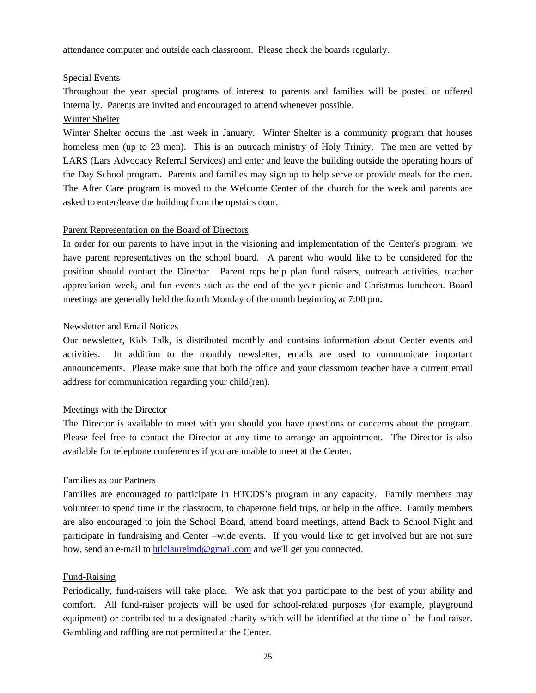attendance computer and outside each classroom. Please check the boards regularly.

#### Special Events

Throughout the year special programs of interest to parents and families will be posted or offered internally. Parents are invited and encouraged to attend whenever possible.

#### Winter Shelter

Winter Shelter occurs the last week in January. Winter Shelter is a community program that houses homeless men (up to 23 men). This is an outreach ministry of Holy Trinity. The men are vetted by LARS (Lars Advocacy Referral Services) and enter and leave the building outside the operating hours of the Day School program. Parents and families may sign up to help serve or provide meals for the men. The After Care program is moved to the Welcome Center of the church for the week and parents are asked to enter/leave the building from the upstairs door.

#### Parent Representation on the Board of Directors

In order for our parents to have input in the visioning and implementation of the Center's program, we have parent representatives on the school board. A parent who would like to be considered for the position should contact the Director. Parent reps help plan fund raisers, outreach activities, teacher appreciation week, and fun events such as the end of the year picnic and Christmas luncheon. Board meetings are generally held the fourth Monday of the month beginning at 7:00 pm**.**

#### Newsletter and Email Notices

Our newsletter, Kids Talk, is distributed monthly and contains information about Center events and activities. In addition to the monthly newsletter, emails are used to communicate important announcements. Please make sure that both the office and your classroom teacher have a current email address for communication regarding your child(ren).

#### Meetings with the Director

The Director is available to meet with you should you have questions or concerns about the program. Please feel free to contact the Director at any time to arrange an appointment. The Director is also available for telephone conferences if you are unable to meet at the Center.

#### Families as our Partners

Families are encouraged to participate in HTCDS's program in any capacity. Family members may volunteer to spend time in the classroom, to chaperone field trips, or help in the office. Family members are also encouraged to join the School Board, attend board meetings, attend Back to School Night and participate in fundraising and Center –wide events. If you would like to get involved but are not sure how, send an e-mail to [htlclaurelmd@gmail.com](mailto:htlclaurelmd@gmail.com) and we'll get you connected.

#### Fund-Raising

Periodically, fund-raisers will take place. We ask that you participate to the best of your ability and comfort. All fund-raiser projects will be used for school-related purposes (for example, playground equipment) or contributed to a designated charity which will be identified at the time of the fund raiser. Gambling and raffling are not permitted at the Center.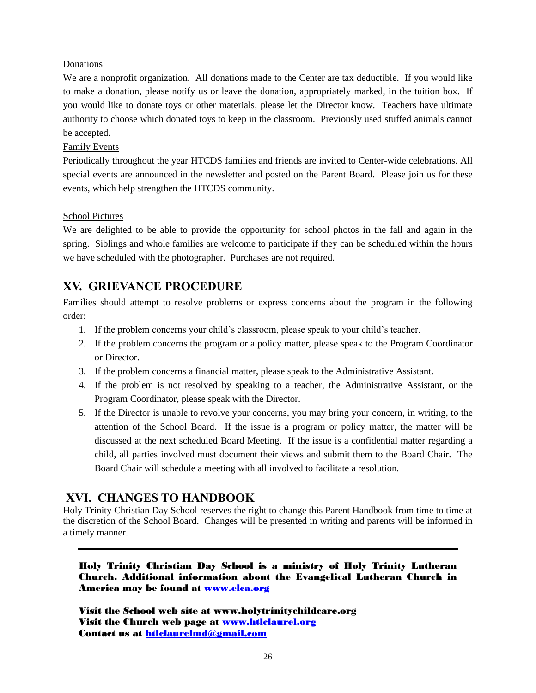#### Donations

We are a nonprofit organization. All donations made to the Center are tax deductible. If you would like to make a donation, please notify us or leave the donation, appropriately marked, in the tuition box. If you would like to donate toys or other materials, please let the Director know. Teachers have ultimate authority to choose which donated toys to keep in the classroom. Previously used stuffed animals cannot be accepted.

#### Family Events

Periodically throughout the year HTCDS families and friends are invited to Center-wide celebrations. All special events are announced in the newsletter and posted on the Parent Board. Please join us for these events, which help strengthen the HTCDS community.

#### School Pictures

We are delighted to be able to provide the opportunity for school photos in the fall and again in the spring. Siblings and whole families are welcome to participate if they can be scheduled within the hours we have scheduled with the photographer. Purchases are not required.

## **XV. GRIEVANCE PROCEDURE**

Families should attempt to resolve problems or express concerns about the program in the following order:

- 1. If the problem concerns your child's classroom, please speak to your child's teacher.
- 2. If the problem concerns the program or a policy matter, please speak to the Program Coordinator or Director.
- 3. If the problem concerns a financial matter, please speak to the Administrative Assistant.
- 4. If the problem is not resolved by speaking to a teacher, the Administrative Assistant, or the Program Coordinator, please speak with the Director.
- 5. If the Director is unable to revolve your concerns, you may bring your concern, in writing, to the attention of the School Board. If the issue is a program or policy matter, the matter will be discussed at the next scheduled Board Meeting. If the issue is a confidential matter regarding a child, all parties involved must document their views and submit them to the Board Chair. The Board Chair will schedule a meeting with all involved to facilitate a resolution.

#### **XVI. CHANGES TO HANDBOOK**

Holy Trinity Christian Day School reserves the right to change this Parent Handbook from time to time at the discretion of the School Board. Changes will be presented in writing and parents will be informed in a timely manner.

Holy Trinity Christian Day School is a ministry of Holy Trinity Lutheran Church. Additional information about the Evangelical Lutheran Church in America may be found at [www.elca.org](http://www.elca.org/)

Visit the School web site at www.holytrinitychildcare.org Visit the Church web page at [www.htlclaurel.org](http://www.htlclaurel.org/) Contact us at [htlclaurelmd@gmail.com](mailto:htlclaurelmd@gmail.com)